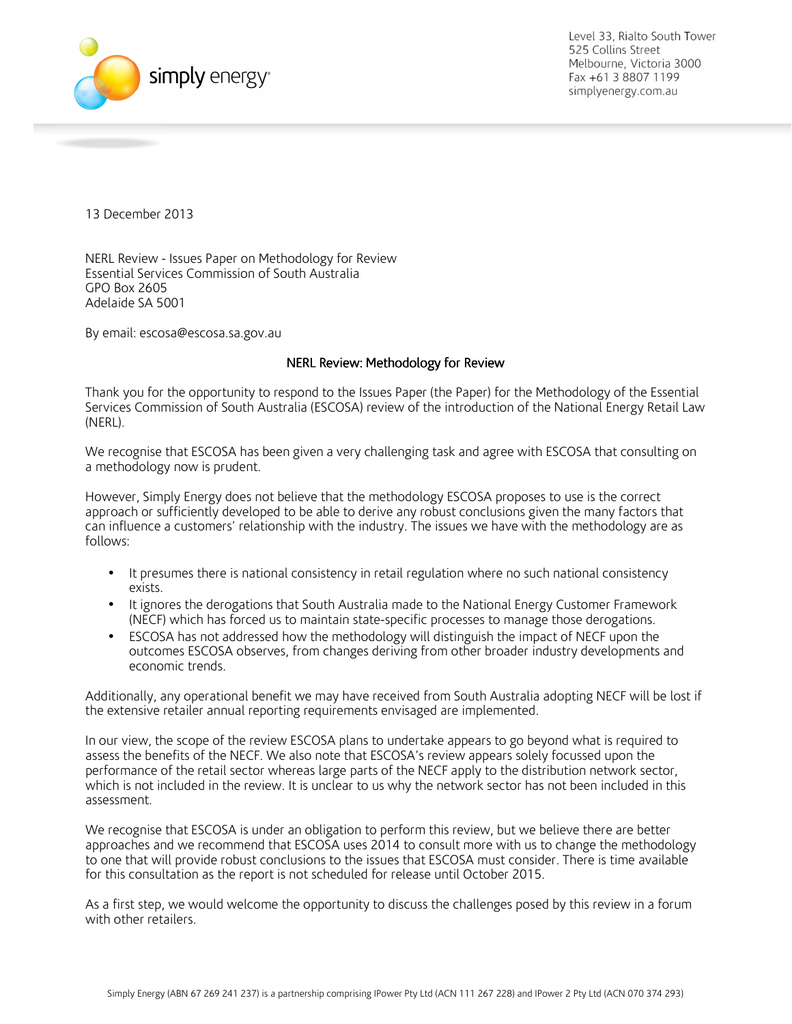

13 December 2013

NERL Review - Issues Paper on Methodology for Review Essential Services Commission of South Australia GPO Box 2605 Adelaide SA 5001

By email: escosa@escosa.sa.gov.au

### NERL Review: Methodology for Review

Thank you for the opportunity to respond to the Issues Paper (the Paper) for the Methodology of the Essential Services Commission of South Australia (ESCOSA) review of the introduction of the National Energy Retail Law (NERL).

We recognise that ESCOSA has been given a very challenging task and agree with ESCOSA that consulting on a methodology now is prudent.

However, Simply Energy does not believe that the methodology ESCOSA proposes to use is the correct approach or sufficiently developed to be able to derive any robust conclusions given the many factors that can influence a customers' relationship with the industry. The issues we have with the methodology are as follows:

- It presumes there is national consistency in retail regulation where no such national consistency exists.
- It ignores the derogations that South Australia made to the National Energy Customer Framework (NECF) which has forced us to maintain state-specific processes to manage those derogations.
- ESCOSA has not addressed how the methodology will distinguish the impact of NECF upon the outcomes ESCOSA observes, from changes deriving from other broader industry developments and economic trends.

Additionally, any operational benefit we may have received from South Australia adopting NECF will be lost if the extensive retailer annual reporting requirements envisaged are implemented.

In our view, the scope of the review ESCOSA plans to undertake appears to go beyond what is required to assess the benefits of the NECF. We also note that ESCOSA's review appears solely focussed upon the performance of the retail sector whereas large parts of the NECF apply to the distribution network sector, which is not included in the review. It is unclear to us why the network sector has not been included in this assessment.

We recognise that ESCOSA is under an obligation to perform this review, but we believe there are better approaches and we recommend that ESCOSA uses 2014 to consult more with us to change the methodology to one that will provide robust conclusions to the issues that ESCOSA must consider. There is time available for this consultation as the report is not scheduled for release until October 2015.

As a first step, we would welcome the opportunity to discuss the challenges posed by this review in a forum with other retailers.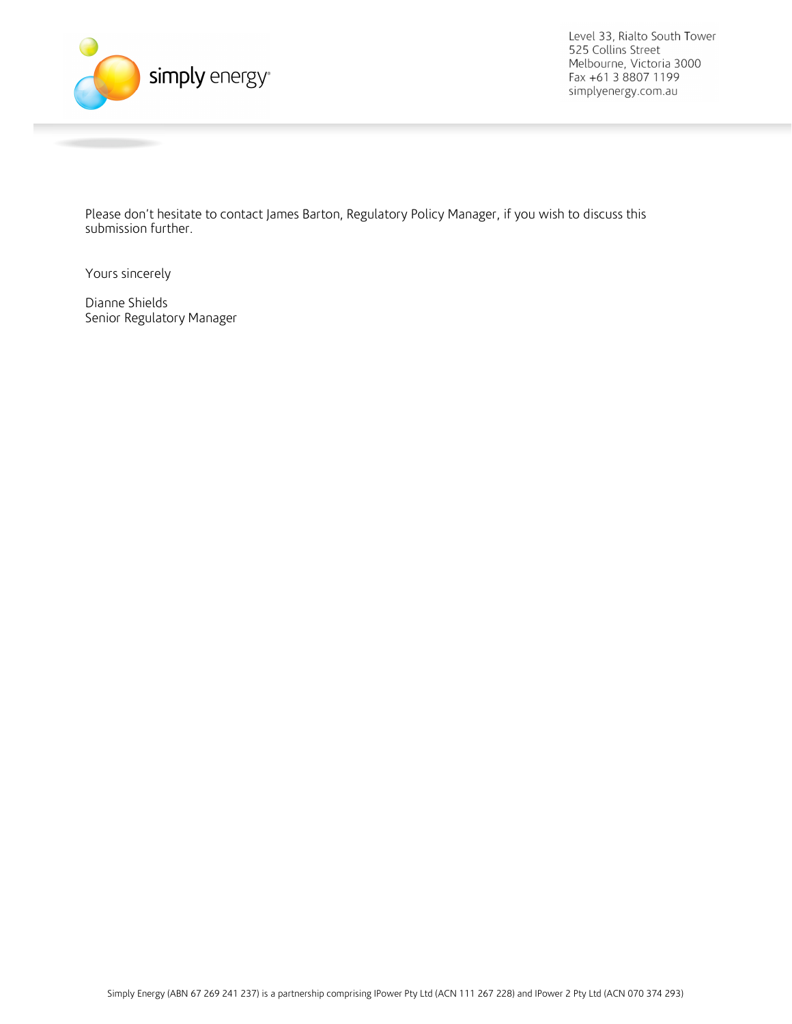

Please don't hesitate to contact James Barton, Regulatory Policy Manager, if you wish to discuss this submission further.

Yours sincerely

Dianne Shields Senior Regulatory Manager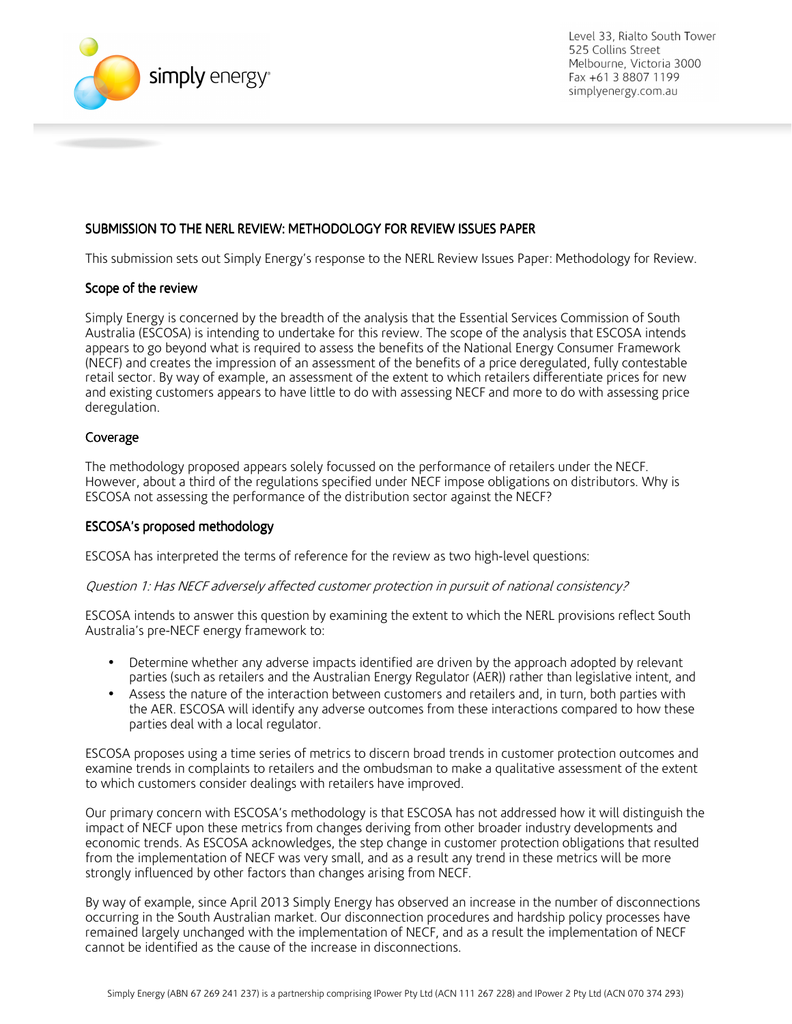

# SUBMISSION TO THE NERL REVIEW: METHODOLOGY FOR REVIEW ISSUES PAPER

This submission sets out Simply Energy's response to the NERL Review Issues Paper: Methodology for Review.

### Scope of the review

Simply Energy is concerned by the breadth of the analysis that the Essential Services Commission of South Australia (ESCOSA) is intending to undertake for this review. The scope of the analysis that ESCOSA intends appears to go beyond what is required to assess the benefits of the National Energy Consumer Framework (NECF) and creates the impression of an assessment of the benefits of a price deregulated, fully contestable retail sector. By way of example, an assessment of the extent to which retailers differentiate prices for new and existing customers appears to have little to do with assessing NECF and more to do with assessing price deregulation.

### Coverage

The methodology proposed appears solely focussed on the performance of retailers under the NECF. However, about a third of the regulations specified under NECF impose obligations on distributors. Why is ESCOSA not assessing the performance of the distribution sector against the NECF?

### ESCOSA's proposed methodology ESCOSA's proposed methodology

ESCOSA has interpreted the terms of reference for the review as two high-level questions:

### Question 1: Has NECF adversely affected customer protection in pursuit of national consistency?

ESCOSA intends to answer this question by examining the extent to which the NERL provisions reflect South Australia's pre-NECF energy framework to:

- Determine whether any adverse impacts identified are driven by the approach adopted by relevant parties (such as retailers and the Australian Energy Regulator (AER)) rather than legislative intent, and
- Assess the nature of the interaction between customers and retailers and, in turn, both parties with the AER. ESCOSA will identify any adverse outcomes from these interactions compared to how these parties deal with a local regulator.

ESCOSA proposes using a time series of metrics to discern broad trends in customer protection outcomes and examine trends in complaints to retailers and the ombudsman to make a qualitative assessment of the extent to which customers consider dealings with retailers have improved.

Our primary concern with ESCOSA's methodology is that ESCOSA has not addressed how it will distinguish the impact of NECF upon these metrics from changes deriving from other broader industry developments and economic trends. As ESCOSA acknowledges, the step change in customer protection obligations that resulted from the implementation of NECF was very small, and as a result any trend in these metrics will be more strongly influenced by other factors than changes arising from NECF.

By way of example, since April 2013 Simply Energy has observed an increase in the number of disconnections occurring in the South Australian market. Our disconnection procedures and hardship policy processes have remained largely unchanged with the implementation of NECF, and as a result the implementation of NECF cannot be identified as the cause of the increase in disconnections.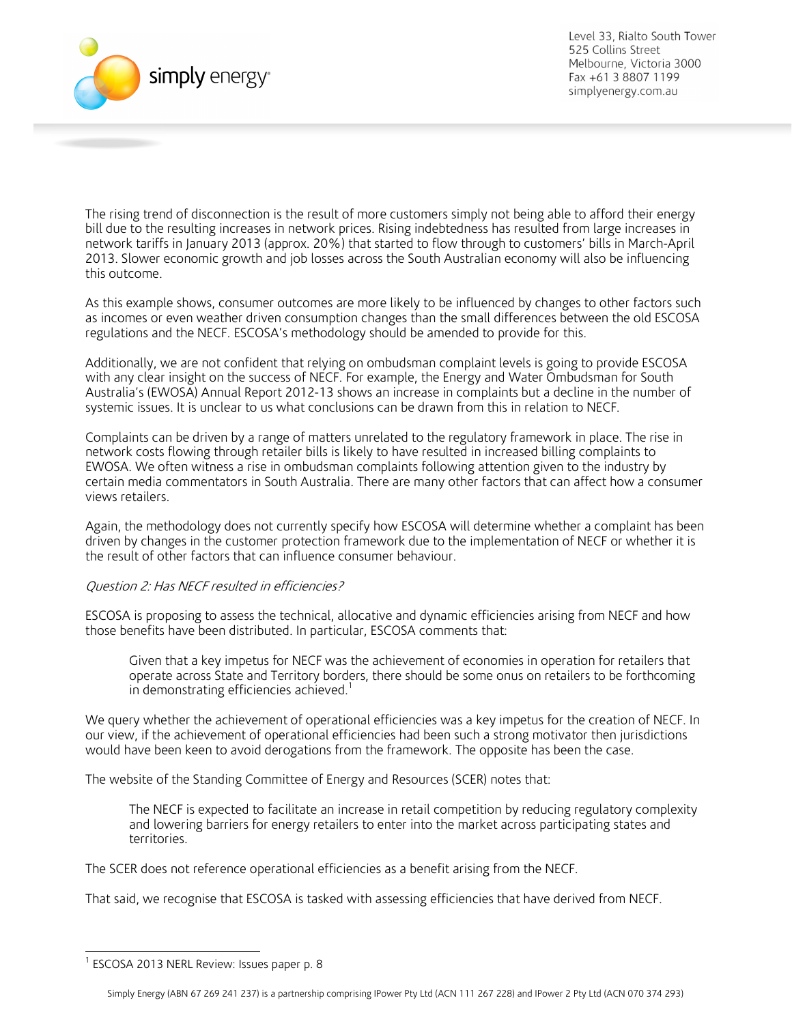

The rising trend of disconnection is the result of more customers simply not being able to afford their energy bill due to the resulting increases in network prices. Rising indebtedness has resulted from large increases in network tariffs in January 2013 (approx. 20%) that started to flow through to customers' bills in March-April 2013. Slower economic growth and job losses across the South Australian economy will also be influencing this outcome.

As this example shows, consumer outcomes are more likely to be influenced by changes to other factors such as incomes or even weather driven consumption changes than the small differences between the old ESCOSA regulations and the NECF. ESCOSA's methodology should be amended to provide for this.

Additionally, we are not confident that relying on ombudsman complaint levels is going to provide ESCOSA with any clear insight on the success of NECF. For example, the Energy and Water Ombudsman for South Australia's (EWOSA) Annual Report 2012-13 shows an increase in complaints but a decline in the number of systemic issues. It is unclear to us what conclusions can be drawn from this in relation to NECF.

Complaints can be driven by a range of matters unrelated to the regulatory framework in place. The rise in network costs flowing through retailer bills is likely to have resulted in increased billing complaints to EWOSA. We often witness a rise in ombudsman complaints following attention given to the industry by certain media commentators in South Australia. There are many other factors that can affect how a consumer views retailers.

Again, the methodology does not currently specify how ESCOSA will determine whether a complaint has been driven by changes in the customer protection framework due to the implementation of NECF or whether it is the result of other factors that can influence consumer behaviour.

# Question 2: Has NECF resulted in efficiencies?

ESCOSA is proposing to assess the technical, allocative and dynamic efficiencies arising from NECF and how those benefits have been distributed. In particular, ESCOSA comments that:

Given that a key impetus for NECF was the achievement of economies in operation for retailers that operate across State and Territory borders, there should be some onus on retailers to be forthcoming in demonstrating efficiencies achieved.<sup>1</sup>

We query whether the achievement of operational efficiencies was a key impetus for the creation of NECF. In our view, if the achievement of operational efficiencies had been such a strong motivator then jurisdictions would have been keen to avoid derogations from the framework. The opposite has been the case.

The website of the Standing Committee of Energy and Resources (SCER) notes that:

The NECF is expected to facilitate an increase in retail competition by reducing regulatory complexity and lowering barriers for energy retailers to enter into the market across participating states and territories.

The SCER does not reference operational efficiencies as a benefit arising from the NECF.

That said, we recognise that ESCOSA is tasked with assessing efficiencies that have derived from NECF.

 1 ESCOSA 2013 NERL Review: Issues paper p. 8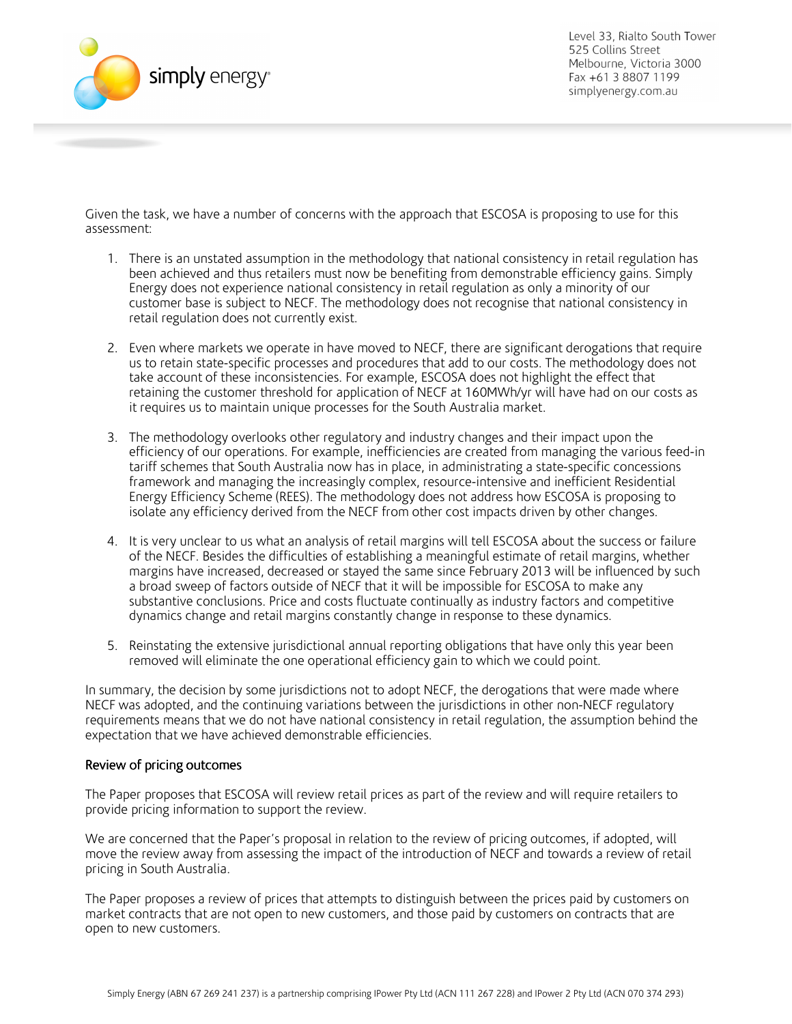

Given the task, we have a number of concerns with the approach that ESCOSA is proposing to use for this assessment:

- 1. There is an unstated assumption in the methodology that national consistency in retail regulation has been achieved and thus retailers must now be benefiting from demonstrable efficiency gains. Simply Energy does not experience national consistency in retail regulation as only a minority of our customer base is subject to NECF. The methodology does not recognise that national consistency in retail regulation does not currently exist.
- 2. Even where markets we operate in have moved to NECF, there are significant derogations that require us to retain state-specific processes and procedures that add to our costs. The methodology does not take account of these inconsistencies. For example, ESCOSA does not highlight the effect that retaining the customer threshold for application of NECF at 160MWh/yr will have had on our costs as it requires us to maintain unique processes for the South Australia market.
- 3. The methodology overlooks other regulatory and industry changes and their impact upon the efficiency of our operations. For example, inefficiencies are created from managing the various feed-in tariff schemes that South Australia now has in place, in administrating a state-specific concessions framework and managing the increasingly complex, resource-intensive and inefficient Residential Energy Efficiency Scheme (REES). The methodology does not address how ESCOSA is proposing to isolate any efficiency derived from the NECF from other cost impacts driven by other changes.
- 4. It is very unclear to us what an analysis of retail margins will tell ESCOSA about the success or failure of the NECF. Besides the difficulties of establishing a meaningful estimate of retail margins, whether margins have increased, decreased or stayed the same since February 2013 will be influenced by such a broad sweep of factors outside of NECF that it will be impossible for ESCOSA to make any substantive conclusions. Price and costs fluctuate continually as industry factors and competitive dynamics change and retail margins constantly change in response to these dynamics.
- 5. Reinstating the extensive jurisdictional annual reporting obligations that have only this year been removed will eliminate the one operational efficiency gain to which we could point.

In summary, the decision by some jurisdictions not to adopt NECF, the derogations that were made where NECF was adopted, and the continuing variations between the jurisdictions in other non-NECF regulatory requirements means that we do not have national consistency in retail regulation, the assumption behind the expectation that we have achieved demonstrable efficiencies.

# Review of pricing outcomes

The Paper proposes that ESCOSA will review retail prices as part of the review and will require retailers to provide pricing information to support the review.

We are concerned that the Paper's proposal in relation to the review of pricing outcomes, if adopted, will move the review away from assessing the impact of the introduction of NECF and towards a review of retail pricing in South Australia.

The Paper proposes a review of prices that attempts to distinguish between the prices paid by customers on market contracts that are not open to new customers, and those paid by customers on contracts that are open to new customers.